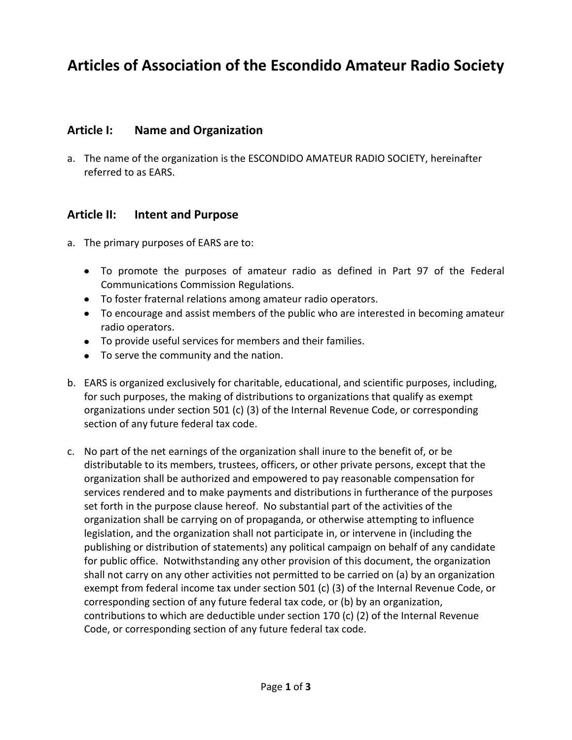# **Articles of Association of the Escondido Amateur Radio Society**

#### **Article I: Name and Organization**

a. The name of the organization is the ESCONDIDO AMATEUR RADIO SOCIETY, hereinafter referred to as EARS.

#### **Article II: Intent and Purpose**

- a. The primary purposes of EARS are to:
	- To promote the purposes of amateur radio as defined in Part 97 of the Federal Communications Commission Regulations.
	- To foster fraternal relations among amateur radio operators.
	- To encourage and assist members of the public who are interested in becoming amateur radio operators.
	- To provide useful services for members and their families.
	- To serve the community and the nation.
- b. EARS is organized exclusively for charitable, educational, and scientific purposes, including, for such purposes, the making of distributions to organizations that qualify as exempt organizations under section 501 (c) (3) of the Internal Revenue Code, or corresponding section of any future federal tax code.
- c. No part of the net earnings of the organization shall inure to the benefit of, or be distributable to its members, trustees, officers, or other private persons, except that the organization shall be authorized and empowered to pay reasonable compensation for services rendered and to make payments and distributions in furtherance of the purposes set forth in the purpose clause hereof. No substantial part of the activities of the organization shall be carrying on of propaganda, or otherwise attempting to influence legislation, and the organization shall not participate in, or intervene in (including the publishing or distribution of statements) any political campaign on behalf of any candidate for public office. Notwithstanding any other provision of this document, the organization shall not carry on any other activities not permitted to be carried on (a) by an organization exempt from federal income tax under section 501 (c) (3) of the Internal Revenue Code, or corresponding section of any future federal tax code, or (b) by an organization, contributions to which are deductible under section 170 (c) (2) of the Internal Revenue Code, or corresponding section of any future federal tax code.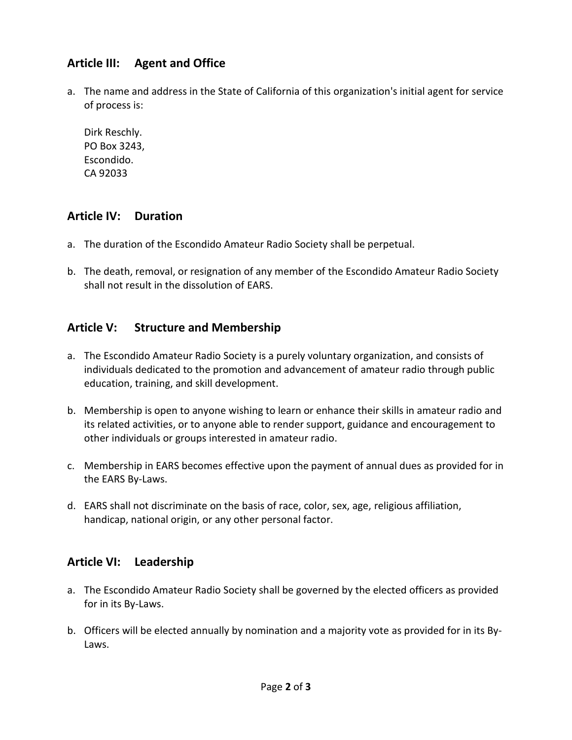# **Article III: Agent and Office**

a. The name and address in the State of California of this organization's initial agent for service of process is:

Dirk Reschly. PO Box 3243, Escondido. CA 92033

### **Article IV: Duration**

- a. The duration of the Escondido Amateur Radio Society shall be perpetual.
- b. The death, removal, or resignation of any member of the Escondido Amateur Radio Society shall not result in the dissolution of EARS.

## **Article V: Structure and Membership**

- a. The Escondido Amateur Radio Society is a purely voluntary organization, and consists of individuals dedicated to the promotion and advancement of amateur radio through public education, training, and skill development.
- b. Membership is open to anyone wishing to learn or enhance their skills in amateur radio and its related activities, or to anyone able to render support, guidance and encouragement to other individuals or groups interested in amateur radio.
- c. Membership in EARS becomes effective upon the payment of annual dues as provided for in the EARS By-Laws.
- d. EARS shall not discriminate on the basis of race, color, sex, age, religious affiliation, handicap, national origin, or any other personal factor.

# **Article VI: Leadership**

- a. The Escondido Amateur Radio Society shall be governed by the elected officers as provided for in its By-Laws.
- b. Officers will be elected annually by nomination and a majority vote as provided for in its By-Laws.